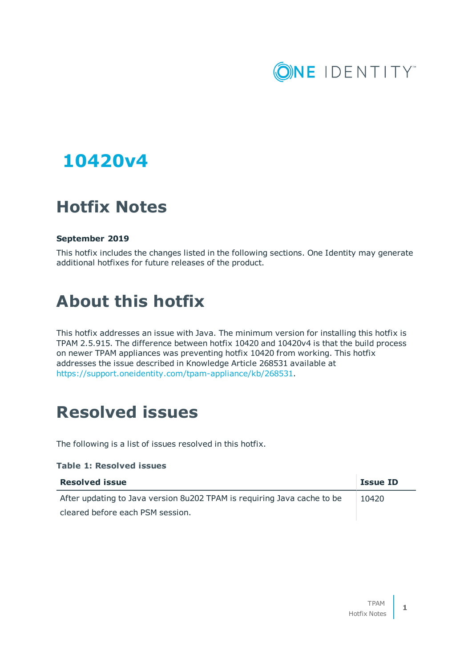

## **10420v4**

## **Hotfix Notes**

### **September 2019**

This hotfix includes the changes listed in the following sections. One Identity may generate additional hotfixes for future releases of the product.

## **About this hotfix**

This hotfix addresses an issue with Java. The minimum version for installing this hotfix is TPAM 2.5.915. The difference between hotfix 10420 and 10420v4 is that the build process on newer TPAM appliances was preventing hotfix 10420 from working. This hotfix addresses the issue described in Knowledge Article 268531 available at [https://support.oneidentity.com/tpam-appliance/kb/268531.](https://support.oneidentity.com/tpam-appliance/kb/268531)

### **Resolved issues**

The following is a list of issues resolved in this hotfix.

### **Table 1: Resolved issues**

| <b>Resolved issue</b>                                                   | <b>Issue ID</b> |
|-------------------------------------------------------------------------|-----------------|
| After updating to Java version 8u202 TPAM is requiring Java cache to be | 10420           |
| cleared before each PSM session.                                        |                 |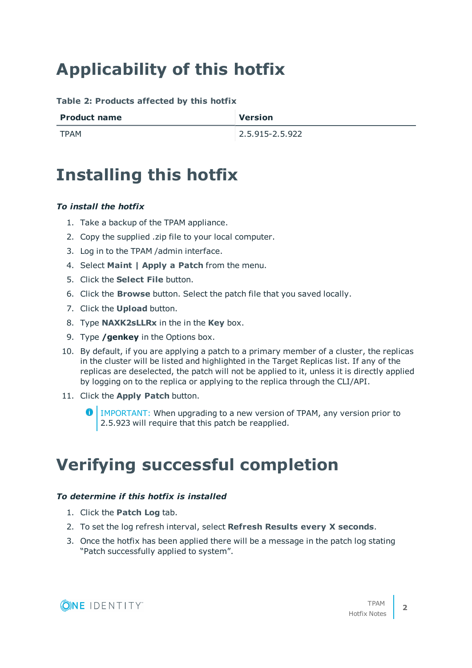# **Applicability of this hotfix**

### **Table 2: Products affected by this hotfix**

| <b>Product name</b> | Version               |
|---------------------|-----------------------|
| TPAM                | $ 2.5.915 - 2.5.922 $ |

## **Installing this hotfix**

### *To install the hotfix*

- 1. Take a backup of the TPAM appliance.
- 2. Copy the supplied .zip file to your local computer.
- 3. Log in to the TPAM /admin interface.
- 4. Select **Maint | Apply a Patch** from the menu.
- 5. Click the **Select File** button.
- 6. Click the **Browse** button. Select the patch file that you saved locally.
- 7. Click the **Upload** button.
- 8. Type **NAXK2sLLRx** in the in the **Key** box.
- 9. Type **/genkey** in the Options box.
- 10. By default, if you are applying a patch to a primary member of a cluster, the replicas in the cluster will be listed and highlighted in the Target Replicas list. If any of the replicas are deselected, the patch will not be applied to it, unless it is directly applied by logging on to the replica or applying to the replica through the CLI/API.
- 11. Click the **Apply Patch** button.
	- $\bigcirc$  IMPORTANT: When upgrading to a new version of TPAM, any version prior to 2.5.923 will require that this patch be reapplied.

## **Verifying successful completion**

### *To determine if this hotfix is installed*

- 1. Click the **Patch Log** tab.
- 2. To set the log refresh interval, select **Refresh Results every X seconds**.
- 3. Once the hotfix has been applied there will be a message in the patch log stating "Patch successfully applied to system".

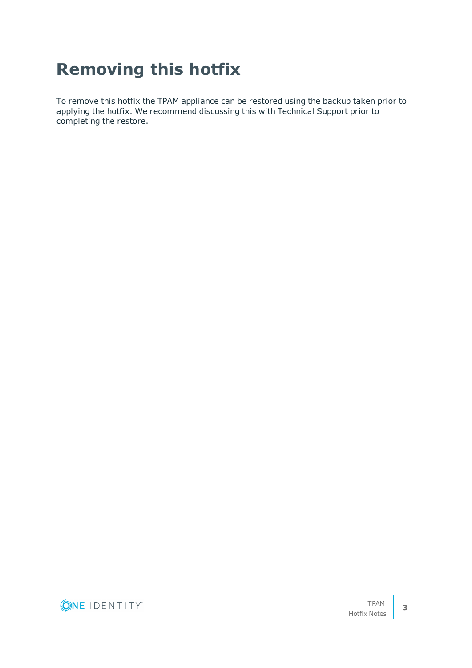# **Removing this hotfix**

To remove this hotfix the TPAM appliance can be restored using the backup taken prior to applying the hotfix. We recommend discussing this with Technical Support prior to completing the restore.